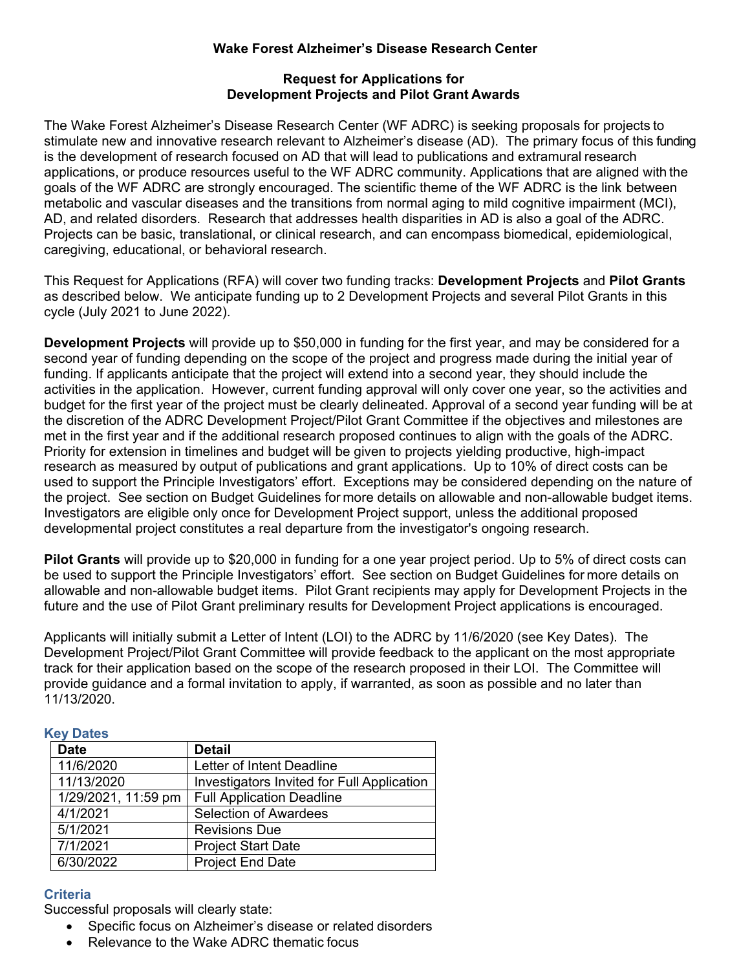### **Wake Forest Alzheimer's Disease Research Center**

### **Request for Applications for Development Projects and Pilot Grant Awards**

The Wake Forest Alzheimer's Disease Research Center (WF ADRC) is seeking proposals for projects to stimulate new and innovative research relevant to Alzheimer's disease (AD). The primary focus of this funding is the development of research focused on AD that will lead to publications and extramural research applications, or produce resources useful to the WF ADRC community. Applications that are aligned with the goals of the WF ADRC are strongly encouraged. The scientific theme of the WF ADRC is the link between metabolic and vascular diseases and the transitions from normal aging to mild cognitive impairment (MCI), AD, and related disorders. Research that addresses health disparities in AD is also a goal of the ADRC. Projects can be basic, translational, or clinical research, and can encompass biomedical, epidemiological, caregiving, educational, or behavioral research.

This Request for Applications (RFA) will cover two funding tracks: **Development Projects** and **Pilot Grants** as described below. We anticipate funding up to 2 Development Projects and several Pilot Grants in this cycle (July 2021 to June 2022).

**Development Projects** will provide up to \$50,000 in funding for the first year, and may be considered for a second year of funding depending on the scope of the project and progress made during the initial year of funding. If applicants anticipate that the project will extend into a second year, they should include the activities in the application. However, current funding approval will only cover one year, so the activities and budget for the first year of the project must be clearly delineated. Approval of a second year funding will be at the discretion of the ADRC Development Project/Pilot Grant Committee if the objectives and milestones are met in the first year and if the additional research proposed continues to align with the goals of the ADRC. Priority for extension in timelines and budget will be given to projects yielding productive, high-impact research as measured by output of publications and grant applications. Up to 10% of direct costs can be used to support the Principle Investigators' effort. Exceptions may be considered depending on the nature of the project. See section on Budget Guidelines for more details on allowable and non-allowable budget items. Investigators are eligible only once for Development Project support, unless the additional proposed developmental project constitutes a real departure from the investigator's ongoing research.

**Pilot Grants** will provide up to \$20,000 in funding for a one year project period. Up to 5% of direct costs can be used to support the Principle Investigators' effort. See section on Budget Guidelines for more details on allowable and non-allowable budget items. Pilot Grant recipients may apply for Development Projects in the future and the use of Pilot Grant preliminary results for Development Project applications is encouraged.

Applicants will initially submit a Letter of Intent (LOI) to the ADRC by 11/6/2020 (see Key Dates). The Development Project/Pilot Grant Committee will provide feedback to the applicant on the most appropriate track for their application based on the scope of the research proposed in their LOI. The Committee will provide guidance and a formal invitation to apply, if warranted, as soon as possible and no later than 11/13/2020.

|  | ÷ |  |
|--|---|--|
|  |   |  |

| <b>Date</b>         | <b>Detail</b>                              |
|---------------------|--------------------------------------------|
| 11/6/2020           | Letter of Intent Deadline                  |
| 11/13/2020          | Investigators Invited for Full Application |
| 1/29/2021, 11:59 pm | <b>Full Application Deadline</b>           |
| 4/1/2021            | <b>Selection of Awardees</b>               |
| 5/1/2021            | <b>Revisions Due</b>                       |
| 7/1/2021            | <b>Project Start Date</b>                  |
| 6/30/2022           | <b>Project End Date</b>                    |

# **Criteria**

Successful proposals will clearly state:

- Specific focus on Alzheimer's disease or related disorders
- Relevance to the Wake ADRC thematic focus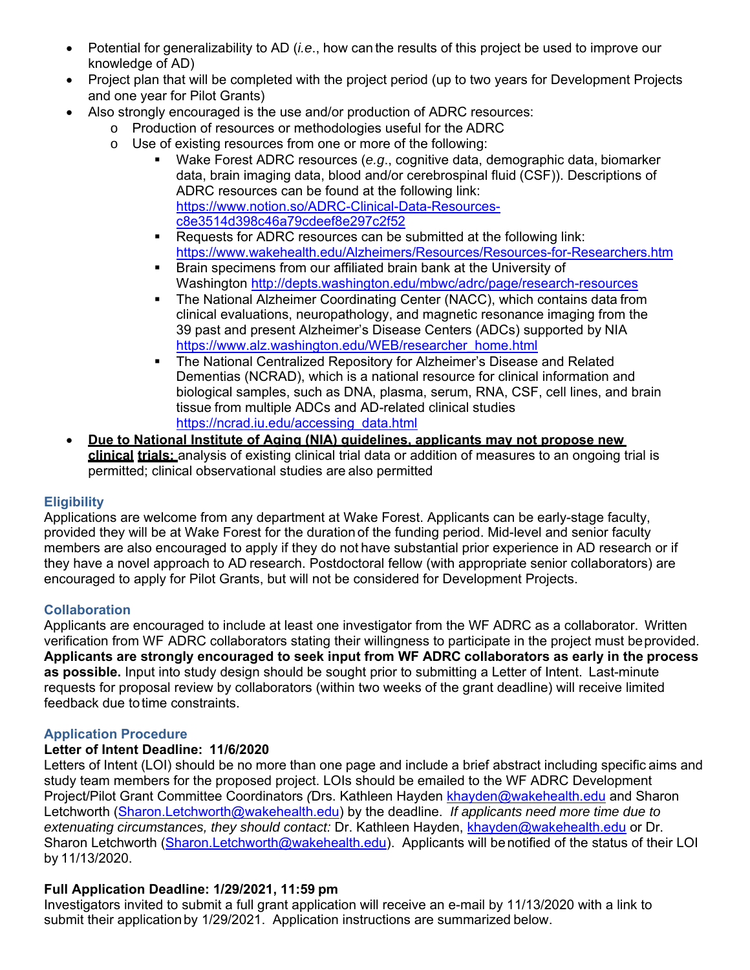- Potential for generalizability to AD (*i.e*., how can the results of this project be used to improve our knowledge of AD)
- Project plan that will be completed with the project period (up to two years for Development Projects and one year for Pilot Grants)
- Also strongly encouraged is the use and/or production of ADRC resources:
	- o Production of resources or methodologies useful for the ADRC
	- o Use of existing resources from one or more of the following:
		- Wake Forest ADRC resources (*e.g*., cognitive data, demographic data, biomarker data, brain imaging data, blood and/or cerebrospinal fluid (CSF)). Descriptions of ADRC resources can be found at the following link: https://www.notion.so/ADRC-Clinical-Data-Resourcesc8e3514d398c46a79cdeef8e297c2f52
		- Requests for ADRC resources can be submitted at the following link: https://www.wakehealth.edu/Alzheimers/Resources/Resources-for-Researchers.htm
		- **Brain specimens from our affiliated brain bank at the University of** Washington http://depts.washington.edu/mbwc/adrc/page/research-resources
		- The National Alzheimer Coordinating Center (NACC), which contains data from clinical evaluations, neuropathology, and magnetic resonance imaging from the 39 past and present Alzheimer's Disease Centers (ADCs) supported by NIA https://www.alz.washington.edu/WEB/researcher\_home.html
		- The National Centralized Repository for Alzheimer's Disease and Related Dementias (NCRAD), which is a national resource for clinical information and biological samples, such as DNA, plasma, serum, RNA, CSF, cell lines, and brain tissue from multiple ADCs and AD-related clinical studies https://ncrad.iu.edu/accessing\_data.html
- **Due to National Institute of Aging (NIA) guidelines, applicants may not propose new clinical trials;** analysis of existing clinical trial data or addition of measures to an ongoing trial is permitted; clinical observational studies are also permitted

# **Eligibility**

Applications are welcome from any department at Wake Forest. Applicants can be early-stage faculty, provided they will be at Wake Forest for the duration of the funding period. Mid-level and senior faculty members are also encouraged to apply if they do not have substantial prior experience in AD research or if they have a novel approach to AD research. Postdoctoral fellow (with appropriate senior collaborators) are encouraged to apply for Pilot Grants, but will not be considered for Development Projects.

# **Collaboration**

Applicants are encouraged to include at least one investigator from the WF ADRC as a collaborator. Written verification from WF ADRC collaborators stating their willingness to participate in the project must be provided. **Applicants are strongly encouraged to seek input from WF ADRC collaborators as early in the process as possible.** Input into study design should be sought prior to submitting a Letter of Intent. Last-minute requests for proposal review by collaborators (within two weeks of the grant deadline) will receive limited feedback due to time constraints.

### **Application Procedure**

# **Letter of Intent Deadline: 11/6/2020**

Letters of Intent (LOI) should be no more than one page and include a brief abstract including specific aims and study team members for the proposed project. LOIs should be emailed to the WF ADRC Development Project/Pilot Grant Committee Coordinators *(*Drs. Kathleen Hayden khayden@wakehealth.edu and Sharon Letchworth (Sharon.Letchworth@wakehealth.edu) by the deadline. *If applicants need more time due to extenuating circumstances, they should contact:* Dr. Kathleen Hayden, khayden@wakehealth.edu or Dr. Sharon Letchworth (Sharon.Letchworth@wakehealth.edu). Applicants will be notified of the status of their LOI by 11/13/2020.

# **Full Application Deadline: 1/29/2021, 11:59 pm**

Investigators invited to submit a full grant application will receive an e-mail by 11/13/2020 with a link to submit their application by 1/29/2021. Application instructions are summarized below.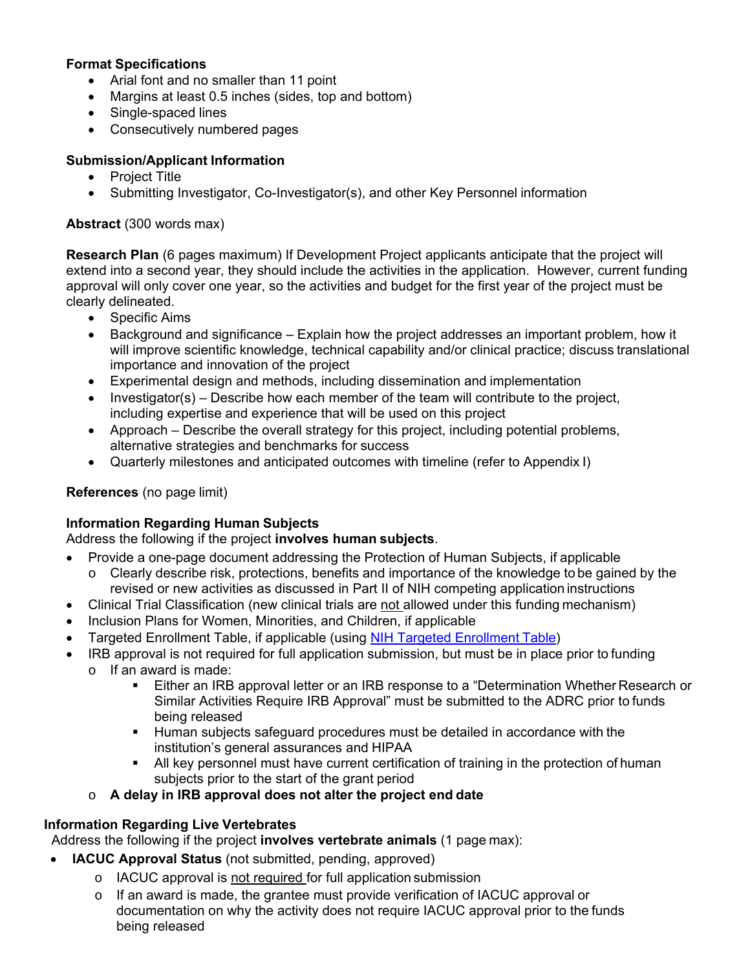### **Format Specifications**

- Arial font and no smaller than 11 point
- Margins at least 0.5 inches (sides, top and bottom)
- Single-spaced lines
- Consecutively numbered pages

## **Submission/Applicant Information**

- Project Title
- Submitting Investigator, Co-Investigator(s), and other Key Personnel information

### **Abstract** (300 words max)

**Research Plan** (6 pages maximum) If Development Project applicants anticipate that the project will extend into a second year, they should include the activities in the application. However, current funding approval will only cover one year, so the activities and budget for the first year of the project must be clearly delineated.

- Specific Aims
- Background and significance Explain how the project addresses an important problem, how it will improve scientific knowledge, technical capability and/or clinical practice; discuss translational importance and innovation of the project
- Experimental design and methods, including dissemination and implementation
- $\bullet$  Investigator(s) Describe how each member of the team will contribute to the project, including expertise and experience that will be used on this project
- Approach Describe the overall strategy for this project, including potential problems, alternative strategies and benchmarks for success
- Quarterly milestones and anticipated outcomes with timeline (refer to Appendix I)

### **References** (no page limit)

### **Information Regarding Human Subjects**

### Address the following if the project **involves human subjects**.

- Provide a one-page document addressing the Protection of Human Subjects, if applicable
	- $\circ$  Clearly describe risk, protections, benefits and importance of the knowledge to be gained by the revised or new activities as discussed in Part II of NIH competing application instructions
- Clinical Trial Classification (new clinical trials are not allowed under this funding mechanism)
- Inclusion Plans for Women, Minorities, and Children, if applicable
- Targeted Enrollment Table, if applicable (using NIH Targeted Enrollment Table)
- IRB approval is not required for full application submission, but must be in place prior to funding o If an award is made:
	- **Either an IRB approval letter or an IRB response to a "Determination Whether Research or in the Stepter** Similar Activities Require IRB Approval" must be submitted to the ADRC prior to funds being released
	- **Human subjects safeguard procedures must be detailed in accordance with the** institution's general assurances and HIPAA
	- All key personnel must have current certification of training in the protection of human subjects prior to the start of the grant period
	- o **A delay in IRB approval does not alter the project end date**

### **Information Regarding Live Vertebrates**

Address the following if the project **involves vertebrate animals** (1 page max):

- **IACUC Approval Status** (not submitted, pending, approved)
	- o IACUC approval is not required for full application submission
	- $\circ$  If an award is made, the grantee must provide verification of IACUC approval or documentation on why the activity does not require IACUC approval prior to the funds being released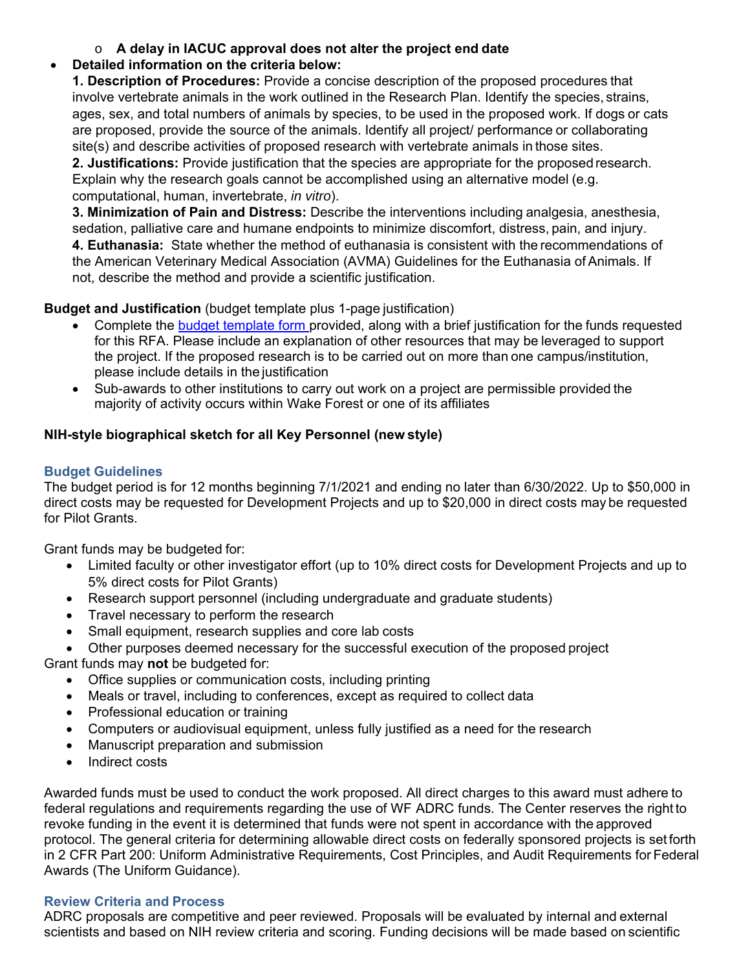o **A delay in IACUC approval does not alter the project end date**

# **Detailed information on the criteria below:**

**1. Description of Procedures:** Provide a concise description of the proposed procedures that involve vertebrate animals in the work outlined in the Research Plan. Identify the species, strains, ages, sex, and total numbers of animals by species, to be used in the proposed work. If dogs or cats are proposed, provide the source of the animals. Identify all project/ performance or collaborating site(s) and describe activities of proposed research with vertebrate animals in those sites.

**2. Justifications:** Provide justification that the species are appropriate for the proposed research. Explain why the research goals cannot be accomplished using an alternative model (e.g. computational, human, invertebrate, *in vitro*).

**3. Minimization of Pain and Distress:** Describe the interventions including analgesia, anesthesia, sedation, palliative care and humane endpoints to minimize discomfort, distress, pain, and injury. **4. Euthanasia:** State whether the method of euthanasia is consistent with the recommendations of

the American Veterinary Medical Association (AVMA) Guidelines for the Euthanasia of Animals. If not, describe the method and provide a scientific justification.

**Budget and Justification** (budget template plus 1-page justification)

- Complete the budget template form provided, along with a brief justification for the funds requested for this RFA. Please include an explanation of other resources that may be leveraged to support the project. If the proposed research is to be carried out on more than one campus/institution, please include details in the justification
- Sub-awards to other institutions to carry out work on a project are permissible provided the majority of activity occurs within Wake Forest or one of its affiliates

# **NIH-style biographical sketch for all Key Personnel (new style)**

# **Budget Guidelines**

The budget period is for 12 months beginning 7/1/2021 and ending no later than 6/30/2022. Up to \$50,000 in direct costs may be requested for Development Projects and up to \$20,000 in direct costs may be requested for Pilot Grants.

Grant funds may be budgeted for:

- Limited faculty or other investigator effort (up to 10% direct costs for Development Projects and up to 5% direct costs for Pilot Grants)
- Research support personnel (including undergraduate and graduate students)
- Travel necessary to perform the research
- Small equipment, research supplies and core lab costs
- Other purposes deemed necessary for the successful execution of the proposed project

Grant funds may **not** be budgeted for:

- Office supplies or communication costs, including printing
- Meals or travel, including to conferences, except as required to collect data
- Professional education or training
- Computers or audiovisual equipment, unless fully justified as a need for the research
- Manuscript preparation and submission
- Indirect costs

Awarded funds must be used to conduct the work proposed. All direct charges to this award must adhere to federal regulations and requirements regarding the use of WF ADRC funds. The Center reserves the right to revoke funding in the event it is determined that funds were not spent in accordance with the approved protocol. The general criteria for determining allowable direct costs on federally sponsored projects is set forth in 2 CFR Part 200: Uniform Administrative Requirements, Cost Principles, and Audit Requirements for Federal Awards (The Uniform Guidance).

# **Review Criteria and Process**

ADRC proposals are competitive and peer reviewed. Proposals will be evaluated by internal and external scientists and based on NIH review criteria and scoring. Funding decisions will be made based on scientific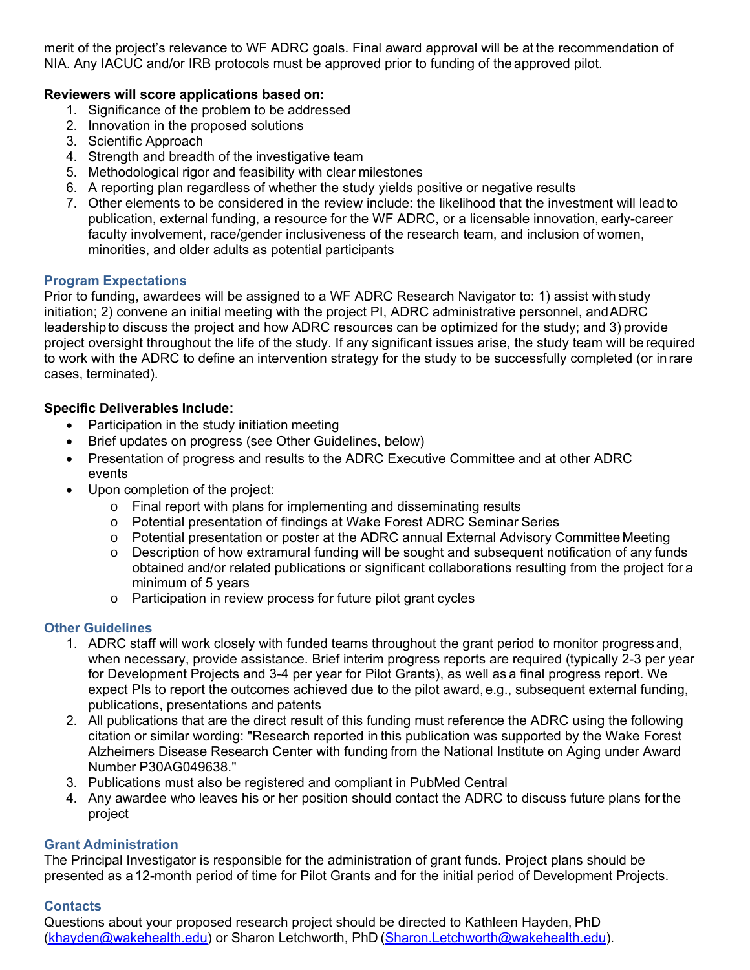merit of the project's relevance to WF ADRC goals. Final award approval will be at the recommendation of NIA. Any IACUC and/or IRB protocols must be approved prior to funding of the approved pilot.

### **Reviewers will score applications based on:**

- 1. Significance of the problem to be addressed
- 2. Innovation in the proposed solutions
- 3. Scientific Approach
- 4. Strength and breadth of the investigative team
- 5. Methodological rigor and feasibility with clear milestones
- 6. A reporting plan regardless of whether the study yields positive or negative results
- 7. Other elements to be considered in the review include: the likelihood that the investment will lead to publication, external funding, a resource for the WF ADRC, or a licensable innovation, early-career faculty involvement, race/gender inclusiveness of the research team, and inclusion of women, minorities, and older adults as potential participants

### **Program Expectations**

Prior to funding, awardees will be assigned to a WF ADRC Research Navigator to: 1) assist with study initiation; 2) convene an initial meeting with the project PI, ADRC administrative personnel, and ADRC leadership to discuss the project and how ADRC resources can be optimized for the study; and 3) provide project oversight throughout the life of the study. If any significant issues arise, the study team will be required to work with the ADRC to define an intervention strategy for the study to be successfully completed (or in rare cases, terminated).

### **Specific Deliverables Include:**

- Participation in the study initiation meeting
- Brief updates on progress (see Other Guidelines, below)
- Presentation of progress and results to the ADRC Executive Committee and at other ADRC events
- Upon completion of the project:
	- o Final report with plans for implementing and disseminating results
	- o Potential presentation of findings at Wake Forest ADRC Seminar Series
	- o Potential presentation or poster at the ADRC annual External Advisory Committee Meeting
	- o Description of how extramural funding will be sought and subsequent notification of any funds obtained and/or related publications or significant collaborations resulting from the project for a minimum of 5 years
	- o Participation in review process for future pilot grant cycles

### **Other Guidelines**

- 1. ADRC staff will work closely with funded teams throughout the grant period to monitor progress and, when necessary, provide assistance. Brief interim progress reports are required (typically 2-3 per year for Development Projects and 3-4 per year for Pilot Grants), as well as a final progress report. We expect PIs to report the outcomes achieved due to the pilot award, e.g., subsequent external funding, publications, presentations and patents
- 2. All publications that are the direct result of this funding must reference the ADRC using the following citation or similar wording: "Research reported in this publication was supported by the Wake Forest Alzheimers Disease Research Center with funding from the National Institute on Aging under Award Number P30AG049638."
- 3. Publications must also be registered and compliant in PubMed Central
- 4. Any awardee who leaves his or her position should contact the ADRC to discuss future plans for the project

### **Grant Administration**

The Principal Investigator is responsible for the administration of grant funds. Project plans should be presented as a 12-month period of time for Pilot Grants and for the initial period of Development Projects.

### **Contacts**

Questions about your proposed research project should be directed to Kathleen Hayden, PhD (khayden@wakehealth.edu) or Sharon Letchworth, PhD (Sharon.Letchworth@wakehealth.edu).